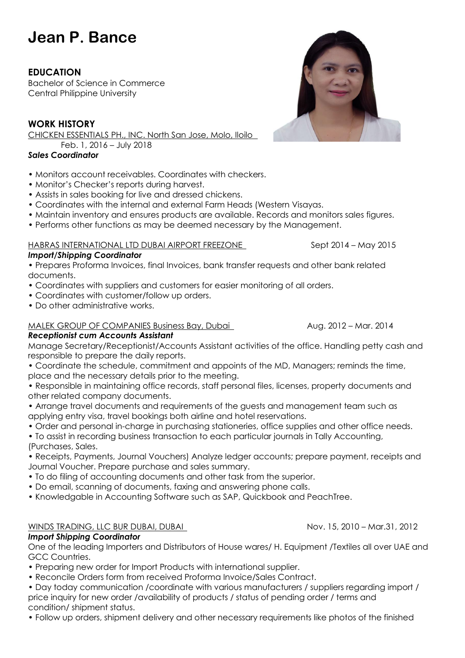# **Jean P. Bance**

# **EDUCATION**

Bachelor of Science in Commerce Central Philippine University

# **WORK HISTORY**

CHICKEN ESSENTIALS PH., INC. North San Jose, Molo, Iloilo

Feb. 1, 2016 – July 2018

## *Sales Coordinator*

- Monitors account receivables. Coordinates with checkers.
- Monitor's Checker's reports during harvest.
- Assists in sales booking for live and dressed chickens.
- Coordinates with the internal and external Farm Heads (Western Visayas.
- Maintain inventory and ensures products are available. Records and monitors sales figures.
- Performs other functions as may be deemed necessary by the Management.

#### HABRAS INTERNATIONAL LTD DUBAI AIRPORT FREEZONE Sept 2014 - May 2015

#### *Import/Shipping Coordinator*

• Prepares Proforma Invoices, final Invoices, bank transfer requests and other bank related documents.

- Coordinates with suppliers and customers for easier monitoring of all orders.
- Coordinates with customer/follow up orders.
- Do other administrative works.

### MALEK GROUP OF COMPANIES Business Bay, Dubai Aug. 2012 – Mar. 2014

#### *Receptionist cum Accounts Assistant*

Manage Secretary/Receptionist/Accounts Assistant activities of the office. Handling petty cash and responsible to prepare the daily reports.

• Coordinate the schedule, commitment and appoints of the MD, Managers; reminds the time, place and the necessary details prior to the meeting.

• Responsible in maintaining office records, staff personal files, licenses, property documents and other related company documents.

- Arrange travel documents and requirements of the guests and management team such as applying entry visa, travel bookings both airline and hotel reservations.
- Order and personal in-charge in purchasing stationeries, office supplies and other office needs.

• To assist in recording business transaction to each particular journals in Tally Accounting, (Purchases, Sales.

• Receipts, Payments, Journal Vouchers) Analyze ledger accounts; prepare payment, receipts and Journal Voucher. Prepare purchase and sales summary.

- To do filing of accounting documents and other task from the superior.
- Do email, scanning of documents, faxing and answering phone calls.
- Knowledgable in Accounting Software such as SAP, Quickbook and PeachTree.

#### WINDS TRADING, LLC BUR DUBAI, DUBAI NOV. 15, 2010 – Mar.31, 2012

#### *Import Shipping Coordinator*

One of the leading Importers and Distributors of House wares/ H. Equipment /Textiles all over UAE and GCC Countries.

- Preparing new order for Import Products with international supplier.
- Reconcile Orders form from received Proforma Invoice/Sales Contract.
- Day today communication /coordinate with various manufacturers / suppliers regarding import / price inquiry for new order /availability of products / status of pending order / terms and condition/ shipment status.

• Follow up orders, shipment delivery and other necessary requirements like photos of the finished